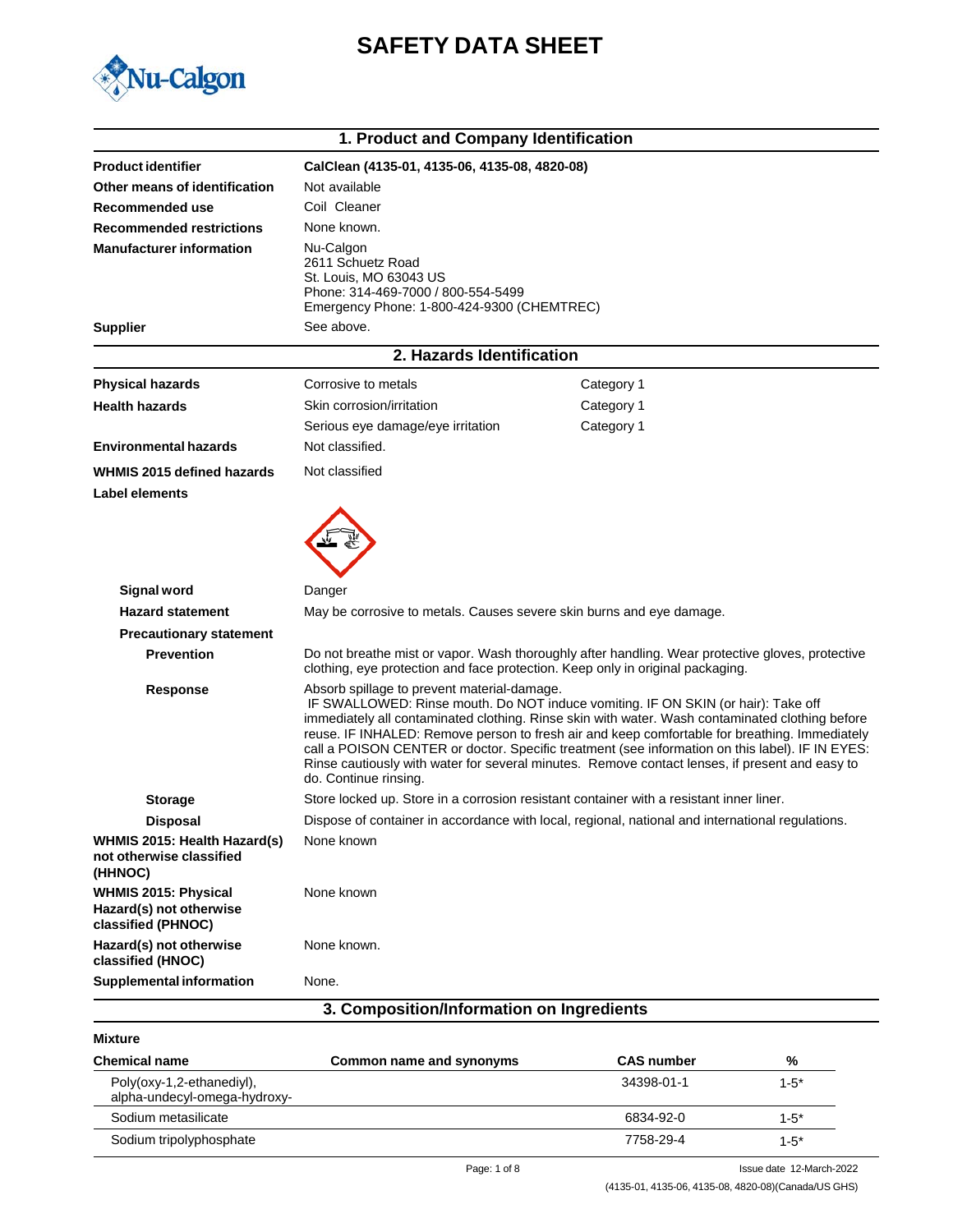



|                                                                              | 1. Product and Company Identification                                                                                                                                                                                                                                                                                                                                                                                                                                                                                                                              |                                                                                                  |  |
|------------------------------------------------------------------------------|--------------------------------------------------------------------------------------------------------------------------------------------------------------------------------------------------------------------------------------------------------------------------------------------------------------------------------------------------------------------------------------------------------------------------------------------------------------------------------------------------------------------------------------------------------------------|--------------------------------------------------------------------------------------------------|--|
| <b>Product identifier</b>                                                    | CalClean (4135-01, 4135-06, 4135-08, 4820-08)                                                                                                                                                                                                                                                                                                                                                                                                                                                                                                                      |                                                                                                  |  |
| Other means of identification                                                | Not available                                                                                                                                                                                                                                                                                                                                                                                                                                                                                                                                                      |                                                                                                  |  |
| Recommended use                                                              | Coil Cleaner                                                                                                                                                                                                                                                                                                                                                                                                                                                                                                                                                       |                                                                                                  |  |
| <b>Recommended restrictions</b>                                              | None known.                                                                                                                                                                                                                                                                                                                                                                                                                                                                                                                                                        |                                                                                                  |  |
| <b>Manufacturer information</b>                                              | Nu-Calgon<br>2611 Schuetz Road<br>St. Louis, MO 63043 US<br>Phone: 314-469-7000 / 800-554-5499<br>Emergency Phone: 1-800-424-9300 (CHEMTREC)                                                                                                                                                                                                                                                                                                                                                                                                                       |                                                                                                  |  |
| <b>Supplier</b>                                                              | See above.                                                                                                                                                                                                                                                                                                                                                                                                                                                                                                                                                         |                                                                                                  |  |
|                                                                              | 2. Hazards Identification                                                                                                                                                                                                                                                                                                                                                                                                                                                                                                                                          |                                                                                                  |  |
| <b>Physical hazards</b>                                                      | Corrosive to metals                                                                                                                                                                                                                                                                                                                                                                                                                                                                                                                                                | Category 1                                                                                       |  |
| <b>Health hazards</b>                                                        | Skin corrosion/irritation                                                                                                                                                                                                                                                                                                                                                                                                                                                                                                                                          | Category 1                                                                                       |  |
|                                                                              | Serious eye damage/eye irritation                                                                                                                                                                                                                                                                                                                                                                                                                                                                                                                                  | Category 1                                                                                       |  |
| <b>Environmental hazards</b>                                                 | Not classified.                                                                                                                                                                                                                                                                                                                                                                                                                                                                                                                                                    |                                                                                                  |  |
| WHMIS 2015 defined hazards                                                   | Not classified                                                                                                                                                                                                                                                                                                                                                                                                                                                                                                                                                     |                                                                                                  |  |
| <b>Label elements</b>                                                        |                                                                                                                                                                                                                                                                                                                                                                                                                                                                                                                                                                    |                                                                                                  |  |
| Signal word<br><b>Hazard statement</b>                                       | Danger<br>May be corrosive to metals. Causes severe skin burns and eye damage.                                                                                                                                                                                                                                                                                                                                                                                                                                                                                     |                                                                                                  |  |
| <b>Precautionary statement</b>                                               |                                                                                                                                                                                                                                                                                                                                                                                                                                                                                                                                                                    |                                                                                                  |  |
| <b>Prevention</b>                                                            | Do not breathe mist or vapor. Wash thoroughly after handling. Wear protective gloves, protective<br>clothing, eye protection and face protection. Keep only in original packaging.                                                                                                                                                                                                                                                                                                                                                                                 |                                                                                                  |  |
| <b>Response</b>                                                              | Absorb spillage to prevent material-damage.<br>IF SWALLOWED: Rinse mouth. Do NOT induce vomiting. IF ON SKIN (or hair): Take off<br>immediately all contaminated clothing. Rinse skin with water. Wash contaminated clothing before<br>reuse. IF INHALED: Remove person to fresh air and keep comfortable for breathing. Immediately<br>call a POISON CENTER or doctor. Specific treatment (see information on this label). IF IN EYES:<br>Rinse cautiously with water for several minutes. Remove contact lenses, if present and easy to<br>do. Continue rinsing. |                                                                                                  |  |
| <b>Storage</b>                                                               | Store locked up. Store in a corrosion resistant container with a resistant inner liner.                                                                                                                                                                                                                                                                                                                                                                                                                                                                            |                                                                                                  |  |
| <b>Disposal</b>                                                              |                                                                                                                                                                                                                                                                                                                                                                                                                                                                                                                                                                    | Dispose of container in accordance with local, regional, national and international regulations. |  |
| WHMIS 2015: Health Hazard(s)<br>not otherwise classified<br>(HHNOC)          | None known                                                                                                                                                                                                                                                                                                                                                                                                                                                                                                                                                         |                                                                                                  |  |
| <b>WHMIS 2015: Physical</b><br>Hazard(s) not otherwise<br>classified (PHNOC) | None known                                                                                                                                                                                                                                                                                                                                                                                                                                                                                                                                                         |                                                                                                  |  |
| Hazard(s) not otherwise<br>classified (HNOC)                                 | None known.                                                                                                                                                                                                                                                                                                                                                                                                                                                                                                                                                        |                                                                                                  |  |
| <b>Supplemental information</b>                                              | None.                                                                                                                                                                                                                                                                                                                                                                                                                                                                                                                                                              |                                                                                                  |  |
| 3. Composition/Information on Ingredients                                    |                                                                                                                                                                                                                                                                                                                                                                                                                                                                                                                                                                    |                                                                                                  |  |

**Mixture**

| <b>Chemical name</b>                                      | Common name and synonyms | <b>CAS number</b> | %         |
|-----------------------------------------------------------|--------------------------|-------------------|-----------|
| Poly(oxy-1,2-ethanediyl),<br>alpha-undecyl-omega-hydroxy- |                          | 34398-01-1        | $1 - 5^*$ |
| Sodium metasilicate                                       |                          | 6834-92-0         | $1 - 5^*$ |
| Sodium tripolyphosphate                                   |                          | 7758-29-4         | $1 - 5^*$ |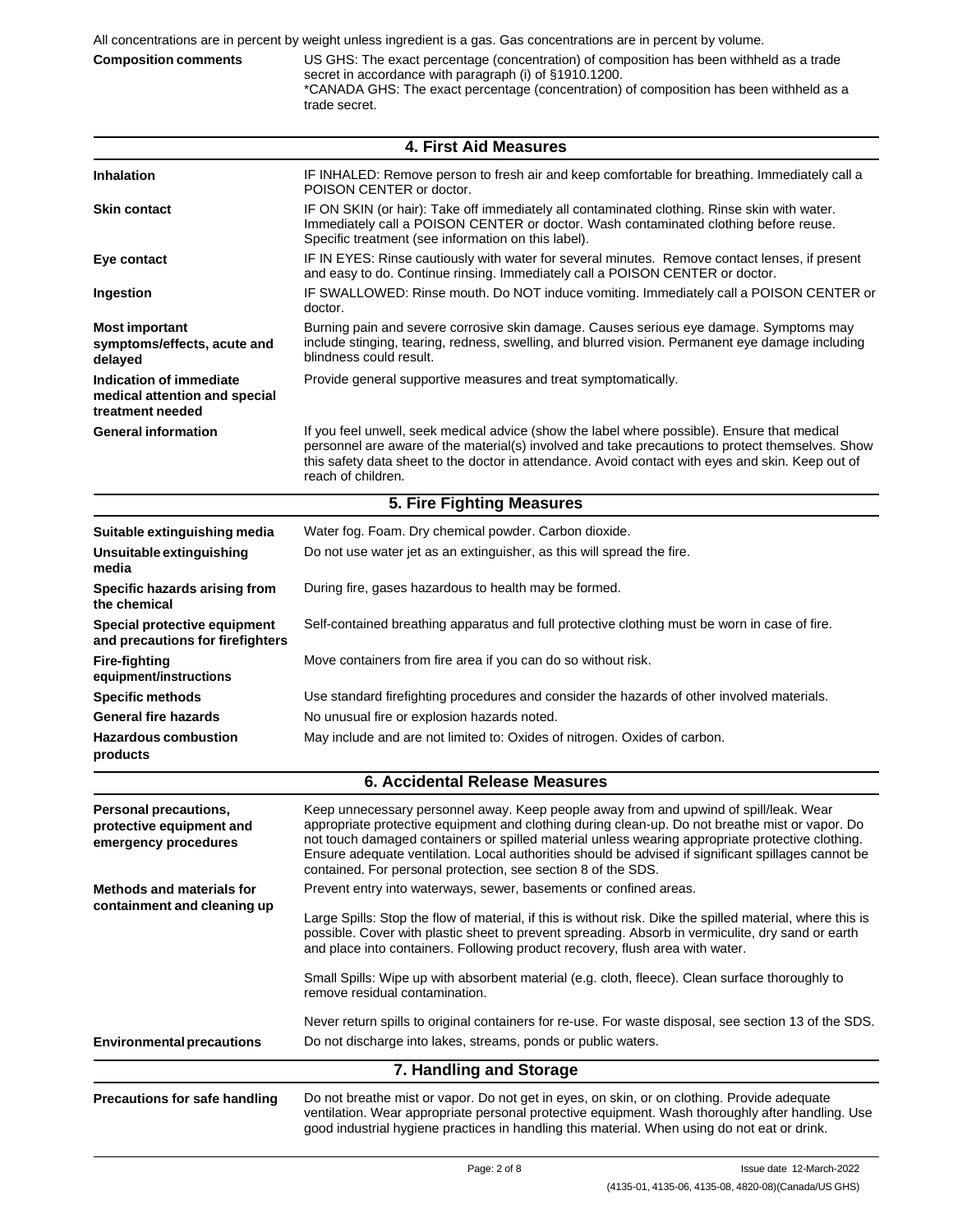trade secret.

**Composition comments** US GHS: The exact percentage (concentration) of composition has been withheld as a trade secret in accordance with paragraph (i) of §1910.1200. \*CANADA GHS: The exact percentage (concentration) of composition has been withheld as a

|                                                                              | <b>4. First Aid Measures</b>                                                                                                                                                                                                                                                                                                                                                                                                                                         |
|------------------------------------------------------------------------------|----------------------------------------------------------------------------------------------------------------------------------------------------------------------------------------------------------------------------------------------------------------------------------------------------------------------------------------------------------------------------------------------------------------------------------------------------------------------|
| <b>Inhalation</b>                                                            | IF INHALED: Remove person to fresh air and keep comfortable for breathing. Immediately call a<br>POISON CENTER or doctor.                                                                                                                                                                                                                                                                                                                                            |
| <b>Skin contact</b>                                                          | IF ON SKIN (or hair): Take off immediately all contaminated clothing. Rinse skin with water.<br>Immediately call a POISON CENTER or doctor. Wash contaminated clothing before reuse.<br>Specific treatment (see information on this label).                                                                                                                                                                                                                          |
| Eye contact                                                                  | IF IN EYES: Rinse cautiously with water for several minutes. Remove contact lenses, if present<br>and easy to do. Continue rinsing. Immediately call a POISON CENTER or doctor.                                                                                                                                                                                                                                                                                      |
| Ingestion                                                                    | IF SWALLOWED: Rinse mouth. Do NOT induce vomiting. Immediately call a POISON CENTER or<br>doctor.                                                                                                                                                                                                                                                                                                                                                                    |
| <b>Most important</b><br>symptoms/effects, acute and<br>delayed              | Burning pain and severe corrosive skin damage. Causes serious eye damage. Symptoms may<br>include stinging, tearing, redness, swelling, and blurred vision. Permanent eye damage including<br>blindness could result.                                                                                                                                                                                                                                                |
| Indication of immediate<br>medical attention and special<br>treatment needed | Provide general supportive measures and treat symptomatically.                                                                                                                                                                                                                                                                                                                                                                                                       |
| <b>General information</b>                                                   | If you feel unwell, seek medical advice (show the label where possible). Ensure that medical<br>personnel are aware of the material(s) involved and take precautions to protect themselves. Show<br>this safety data sheet to the doctor in attendance. Avoid contact with eyes and skin. Keep out of<br>reach of children.                                                                                                                                          |
|                                                                              | 5. Fire Fighting Measures                                                                                                                                                                                                                                                                                                                                                                                                                                            |
| Suitable extinguishing media                                                 | Water fog. Foam. Dry chemical powder. Carbon dioxide.                                                                                                                                                                                                                                                                                                                                                                                                                |
| Unsuitable extinguishing<br>media                                            | Do not use water jet as an extinguisher, as this will spread the fire.                                                                                                                                                                                                                                                                                                                                                                                               |
| Specific hazards arising from<br>the chemical                                | During fire, gases hazardous to health may be formed.                                                                                                                                                                                                                                                                                                                                                                                                                |
| Special protective equipment<br>and precautions for firefighters             | Self-contained breathing apparatus and full protective clothing must be worn in case of fire.                                                                                                                                                                                                                                                                                                                                                                        |
| <b>Fire-fighting</b><br>equipment/instructions                               | Move containers from fire area if you can do so without risk.                                                                                                                                                                                                                                                                                                                                                                                                        |
| <b>Specific methods</b>                                                      | Use standard firefighting procedures and consider the hazards of other involved materials.                                                                                                                                                                                                                                                                                                                                                                           |
| <b>General fire hazards</b>                                                  | No unusual fire or explosion hazards noted.                                                                                                                                                                                                                                                                                                                                                                                                                          |
| <b>Hazardous combustion</b><br>products                                      | May include and are not limited to: Oxides of nitrogen. Oxides of carbon.                                                                                                                                                                                                                                                                                                                                                                                            |
|                                                                              | <b>6. Accidental Release Measures</b>                                                                                                                                                                                                                                                                                                                                                                                                                                |
| Personal precautions,<br>protective equipment and<br>emergency procedures    | Keep unnecessary personnel away. Keep people away from and upwind of spill/leak. Wear<br>appropriate protective equipment and clothing during clean-up. Do not breathe mist or vapor. Do<br>not touch damaged containers or spilled material unless wearing appropriate protective clothing.<br>Ensure adequate ventilation. Local authorities should be advised if significant spillages cannot be<br>contained. For personal protection, see section 8 of the SDS. |
| <b>Methods and materials for</b>                                             | Prevent entry into waterways, sewer, basements or confined areas.                                                                                                                                                                                                                                                                                                                                                                                                    |
| containment and cleaning up                                                  | Large Spills: Stop the flow of material, if this is without risk. Dike the spilled material, where this is<br>possible. Cover with plastic sheet to prevent spreading. Absorb in vermiculite, dry sand or earth<br>and place into containers. Following product recovery, flush area with water.                                                                                                                                                                     |
|                                                                              | Small Spills: Wipe up with absorbent material (e.g. cloth, fleece). Clean surface thoroughly to<br>remove residual contamination.                                                                                                                                                                                                                                                                                                                                    |
|                                                                              | Never return spills to original containers for re-use. For waste disposal, see section 13 of the SDS.                                                                                                                                                                                                                                                                                                                                                                |
| <b>Environmental precautions</b>                                             | Do not discharge into lakes, streams, ponds or public waters.                                                                                                                                                                                                                                                                                                                                                                                                        |
|                                                                              | 7. Handling and Storage                                                                                                                                                                                                                                                                                                                                                                                                                                              |
| <b>Precautions for safe handling</b>                                         | Do not breathe mist or vapor. Do not get in eyes, on skin, or on clothing. Provide adequate<br>ventilation. Wear appropriate personal protective equipment. Wash thoroughly after handling. Use<br>good industrial hygiene practices in handling this material. When using do not eat or drink.                                                                                                                                                                      |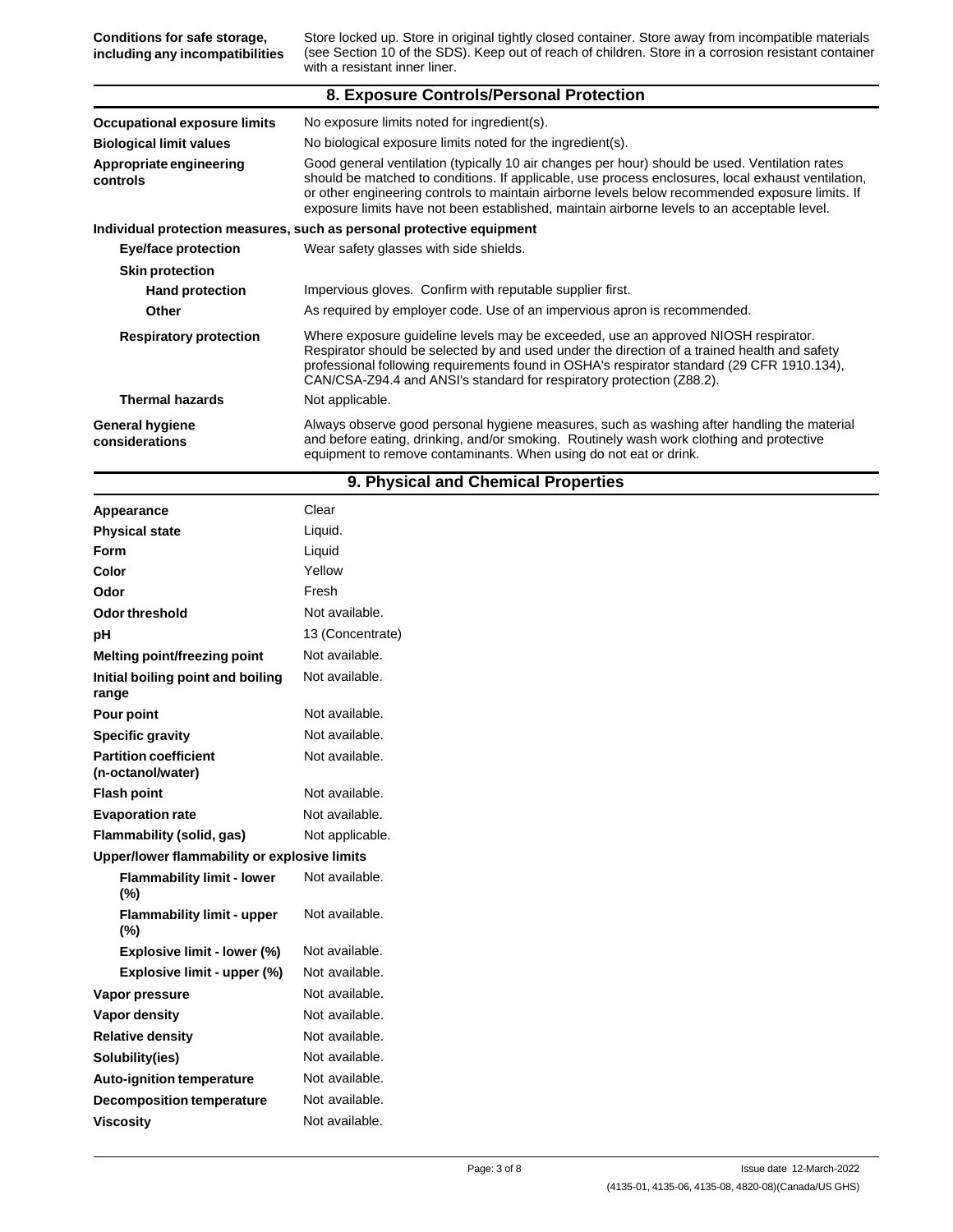Store locked up. Store in original tightly closed container. Store away from incompatible materials (see Section 10 of the SDS). Keep out of reach of children. Store in a corrosion resistant container with a resistant inner liner. **Conditions for safe storage, including any incompatibilities 8. Exposure Controls/Personal Protection Occupational exposure limits Biological limit values Appropriate engineering controls** No exposure limits noted for ingredient(s). No biological exposure limits noted for the ingredient(s). Good general ventilation (typically 10 air changes per hour) should be used. Ventilation rates should be matched to conditions. If applicable, use process enclosures, local exhaust ventilation, or other engineering controls to maintain airborne levels below recommended exposure limits. If exposure limits have not been established, maintain airborne levels to an acceptable level. **Individual protection measures, such as personal protective equipment Eye/face protection Skin protection Hand protection Other Respiratory protection** Wear safety glasses with side shields. Impervious gloves. Confirm with reputable supplier first. As required by employer code. Use of an impervious apron is recommended. Where exposure guideline levels may be exceeded, use an approved NIOSH respirator. Respirator should be selected by and used under the direction of a trained health and safety professional following requirements found in OSHA's respirator standard (29 CFR 1910.134), CAN/CSA-Z94.4 and ANSI's standard for respiratory protection (Z88.2). Not applicable. Always observe good personal hygiene measures, such as washing after handling the material and before eating, drinking, and/or smoking. Routinely wash work clothing and protective equipment to remove contaminants. When using do not eat or drink. **Thermal hazards General hygiene considerations**

## **9. Physical and Chemical Properties**

| Appearance                                        | Clear            |
|---------------------------------------------------|------------------|
| <b>Physical state</b>                             | Liquid.          |
| Form                                              | Liquid           |
| Color                                             | Yellow           |
| Odor                                              | Fresh            |
| <b>Odor threshold</b>                             | Not available.   |
| pH                                                | 13 (Concentrate) |
| <b>Melting point/freezing point</b>               | Not available.   |
| Initial boiling point and boiling<br>range        | Not available.   |
| Pour point                                        | Not available.   |
| <b>Specific gravity</b>                           | Not available.   |
| <b>Partition coefficient</b><br>(n-octanol/water) | Not available.   |
| <b>Flash point</b>                                | Not available.   |
| <b>Evaporation rate</b>                           | Not available.   |
| Flammability (solid, gas)                         | Not applicable.  |
| Upper/lower flammability or explosive limits      |                  |
| <b>Flammability limit - lower</b><br>(%)          | Not available.   |
| <b>Flammability limit - upper</b><br>(%)          | Not available.   |
| Explosive limit - lower (%)                       | Not available.   |
| Explosive limit - upper (%)                       | Not available.   |
| Vapor pressure                                    | Not available.   |
| Vapor density                                     | Not available.   |
| <b>Relative density</b>                           | Not available.   |
| Solubility(ies)                                   | Not available.   |
| <b>Auto-ignition temperature</b>                  | Not available.   |
| <b>Decomposition temperature</b>                  | Not available.   |
| <b>Viscosity</b>                                  | Not available.   |
|                                                   |                  |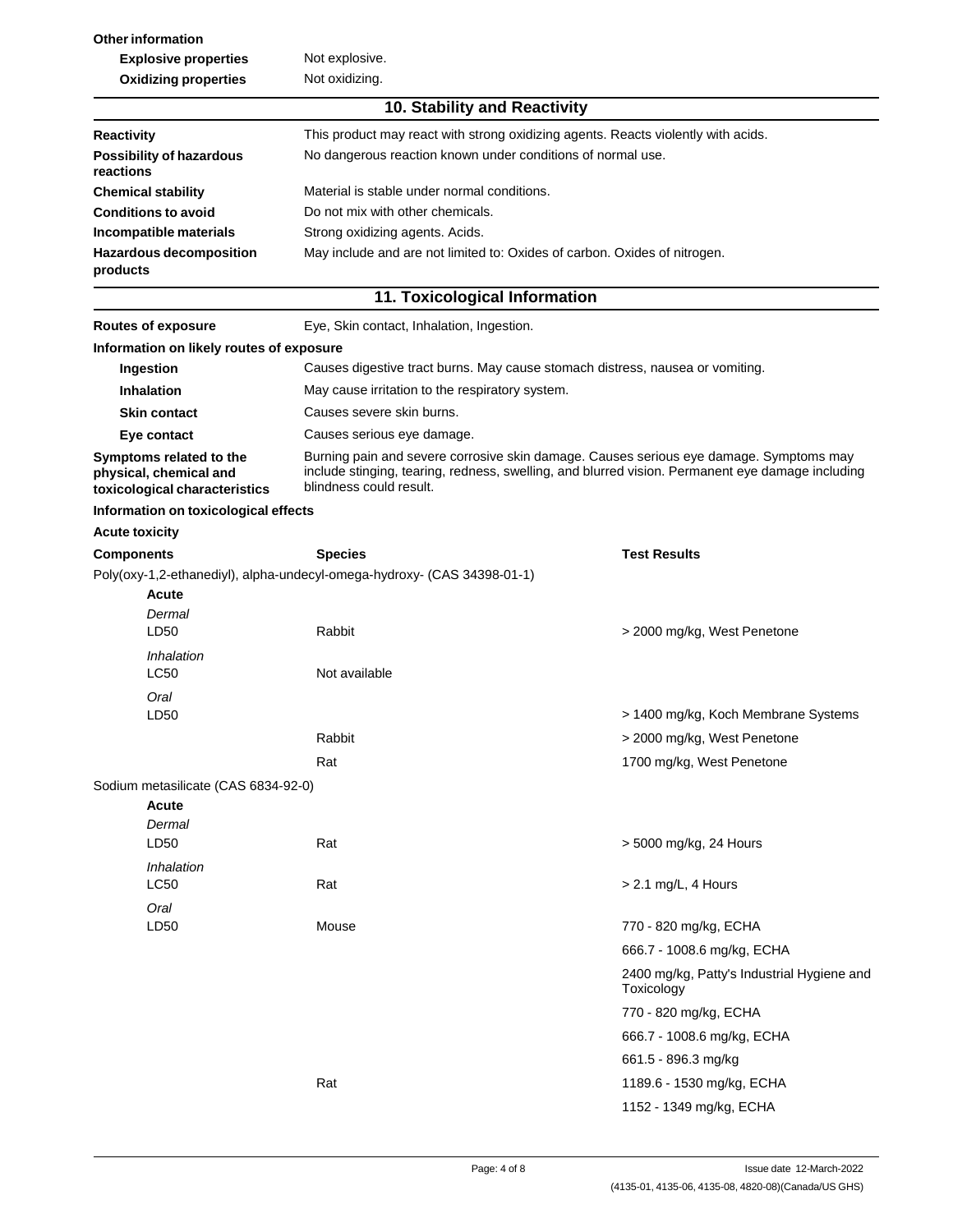**Other information Explosive properties Oxidizing properties** Not explosive. Not oxidizing. **10. Stability and Reactivity** This product may react with strong oxidizing agents. Reacts violently with acids. No dangerous reaction known under conditions of normal use. **Reactivity Possibility of hazardous reactions Chemical stability Conditions to avoid Incompatible materials Hazardous decomposition products** Material is stable under normal conditions. Do not mix with other chemicals. Strong oxidizing agents. Acids. May include and are not limited to: Oxides of carbon. Oxides of nitrogen.

## **11. Toxicological Information**

| Routes of exposure                                                                 | Eye, Skin contact, Inhalation, Ingestion.                                                                                                                                                                             |                                                          |  |
|------------------------------------------------------------------------------------|-----------------------------------------------------------------------------------------------------------------------------------------------------------------------------------------------------------------------|----------------------------------------------------------|--|
| Information on likely routes of exposure                                           |                                                                                                                                                                                                                       |                                                          |  |
| Ingestion                                                                          | Causes digestive tract burns. May cause stomach distress, nausea or vomiting.                                                                                                                                         |                                                          |  |
| <b>Inhalation</b>                                                                  | May cause irritation to the respiratory system.                                                                                                                                                                       |                                                          |  |
| <b>Skin contact</b>                                                                | Causes severe skin burns.                                                                                                                                                                                             |                                                          |  |
| Eye contact                                                                        | Causes serious eye damage.                                                                                                                                                                                            |                                                          |  |
| Symptoms related to the<br>physical, chemical and<br>toxicological characteristics | Burning pain and severe corrosive skin damage. Causes serious eye damage. Symptoms may<br>include stinging, tearing, redness, swelling, and blurred vision. Permanent eye damage including<br>blindness could result. |                                                          |  |
| Information on toxicological effects                                               |                                                                                                                                                                                                                       |                                                          |  |
| <b>Acute toxicity</b>                                                              |                                                                                                                                                                                                                       |                                                          |  |
| <b>Components</b>                                                                  | <b>Species</b>                                                                                                                                                                                                        | <b>Test Results</b>                                      |  |
|                                                                                    | Poly(oxy-1,2-ethanediyl), alpha-undecyl-omega-hydroxy- (CAS 34398-01-1)                                                                                                                                               |                                                          |  |
| Acute                                                                              |                                                                                                                                                                                                                       |                                                          |  |
| Dermal<br>LD50                                                                     | Rabbit                                                                                                                                                                                                                | > 2000 mg/kg, West Penetone                              |  |
| Inhalation<br><b>LC50</b>                                                          | Not available                                                                                                                                                                                                         |                                                          |  |
| Oral<br>LD50                                                                       |                                                                                                                                                                                                                       | > 1400 mg/kg, Koch Membrane Systems                      |  |
|                                                                                    | Rabbit                                                                                                                                                                                                                | > 2000 mg/kg, West Penetone                              |  |
|                                                                                    | Rat                                                                                                                                                                                                                   | 1700 mg/kg, West Penetone                                |  |
| Sodium metasilicate (CAS 6834-92-0)                                                |                                                                                                                                                                                                                       |                                                          |  |
| Acute<br>Dermal                                                                    |                                                                                                                                                                                                                       |                                                          |  |
| LD50                                                                               | Rat                                                                                                                                                                                                                   | > 5000 mg/kg, 24 Hours                                   |  |
| Inhalation<br>LC50                                                                 | Rat                                                                                                                                                                                                                   | > 2.1 mg/L, 4 Hours                                      |  |
| Oral<br>LD50                                                                       | Mouse                                                                                                                                                                                                                 | 770 - 820 mg/kg, ECHA                                    |  |
|                                                                                    |                                                                                                                                                                                                                       | 666.7 - 1008.6 mg/kg, ECHA                               |  |
|                                                                                    |                                                                                                                                                                                                                       | 2400 mg/kg, Patty's Industrial Hygiene and<br>Toxicology |  |
|                                                                                    |                                                                                                                                                                                                                       | 770 - 820 mg/kg, ECHA                                    |  |
|                                                                                    |                                                                                                                                                                                                                       | 666.7 - 1008.6 mg/kg, ECHA                               |  |
|                                                                                    |                                                                                                                                                                                                                       | 661.5 - 896.3 mg/kg                                      |  |
|                                                                                    | Rat                                                                                                                                                                                                                   | 1189.6 - 1530 mg/kg, ECHA                                |  |
|                                                                                    |                                                                                                                                                                                                                       | 1152 - 1349 mg/kg, ECHA                                  |  |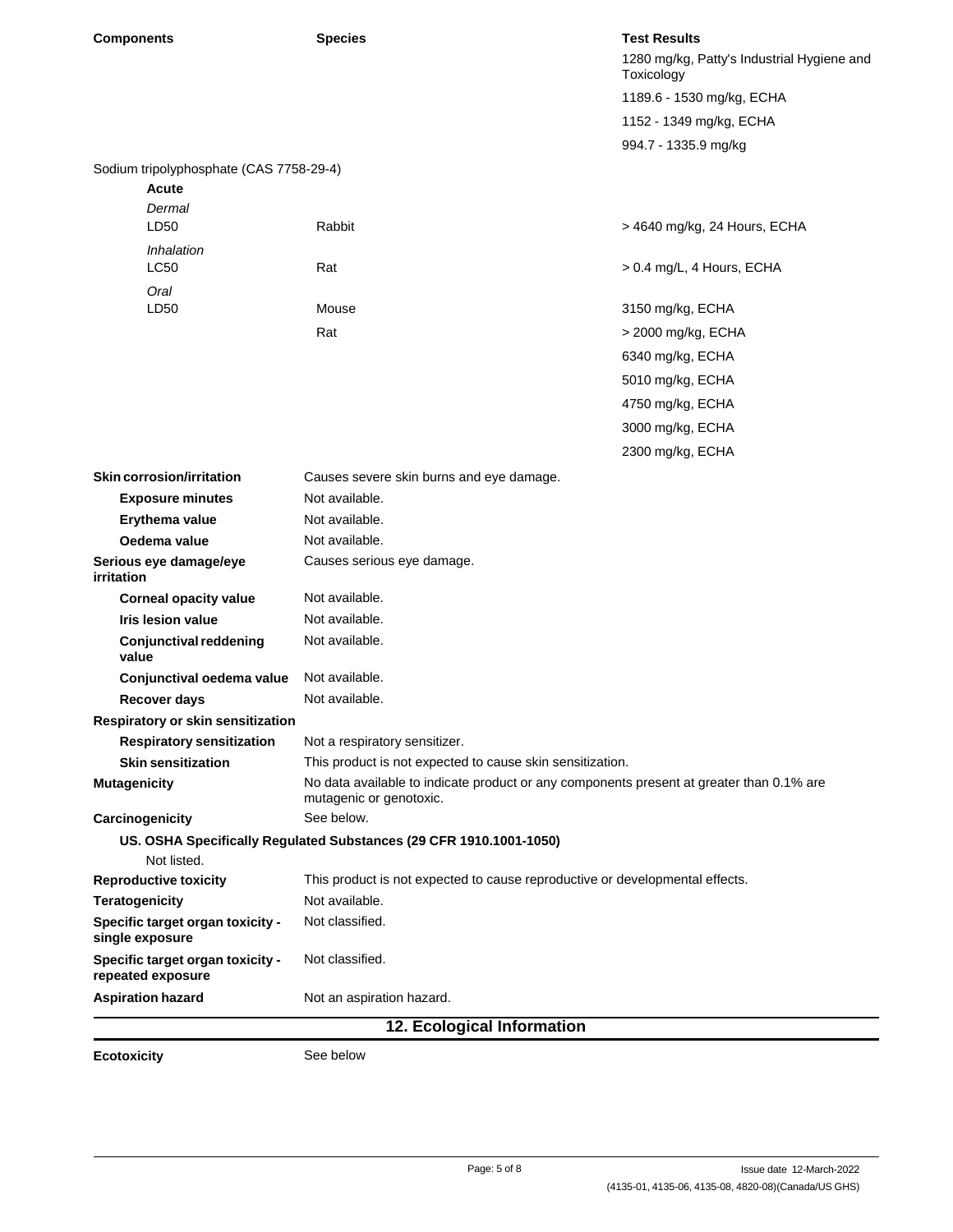| <b>Components</b>                                     | <b>Species</b>                                                                                                      | <b>Test Results</b>                                      |  |
|-------------------------------------------------------|---------------------------------------------------------------------------------------------------------------------|----------------------------------------------------------|--|
|                                                       |                                                                                                                     | 1280 mg/kg, Patty's Industrial Hygiene and<br>Toxicology |  |
|                                                       |                                                                                                                     | 1189.6 - 1530 mg/kg, ECHA                                |  |
|                                                       |                                                                                                                     | 1152 - 1349 mg/kg, ECHA                                  |  |
|                                                       |                                                                                                                     | 994.7 - 1335.9 mg/kg                                     |  |
| Sodium tripolyphosphate (CAS 7758-29-4)               |                                                                                                                     |                                                          |  |
| <b>Acute</b>                                          |                                                                                                                     |                                                          |  |
| Dermal                                                |                                                                                                                     |                                                          |  |
| LD50                                                  | Rabbit                                                                                                              | > 4640 mg/kg, 24 Hours, ECHA                             |  |
| Inhalation<br>LC50                                    | Rat                                                                                                                 | > 0.4 mg/L, 4 Hours, ECHA                                |  |
| Oral                                                  |                                                                                                                     |                                                          |  |
| LD <sub>50</sub>                                      | Mouse                                                                                                               | 3150 mg/kg, ECHA                                         |  |
|                                                       | Rat                                                                                                                 | > 2000 mg/kg, ECHA                                       |  |
|                                                       |                                                                                                                     | 6340 mg/kg, ECHA                                         |  |
|                                                       |                                                                                                                     | 5010 mg/kg, ECHA                                         |  |
|                                                       |                                                                                                                     | 4750 mg/kg, ECHA                                         |  |
|                                                       |                                                                                                                     |                                                          |  |
|                                                       |                                                                                                                     | 3000 mg/kg, ECHA                                         |  |
|                                                       |                                                                                                                     | 2300 mg/kg, ECHA                                         |  |
| <b>Skin corrosion/irritation</b>                      | Causes severe skin burns and eye damage.                                                                            |                                                          |  |
| <b>Exposure minutes</b>                               | Not available.                                                                                                      |                                                          |  |
| Erythema value                                        | Not available.                                                                                                      |                                                          |  |
| Oedema value                                          | Not available.                                                                                                      |                                                          |  |
| Serious eye damage/eye<br>irritation                  | Causes serious eye damage.                                                                                          |                                                          |  |
| <b>Corneal opacity value</b>                          | Not available.                                                                                                      |                                                          |  |
| <b>Iris lesion value</b>                              | Not available.                                                                                                      |                                                          |  |
| <b>Conjunctival reddening</b><br>value                | Not available.                                                                                                      |                                                          |  |
| Conjunctival oedema value                             | Not available.                                                                                                      |                                                          |  |
| Recover days                                          | Not available.                                                                                                      |                                                          |  |
| Respiratory or skin sensitization                     |                                                                                                                     |                                                          |  |
| <b>Respiratory sensitization</b>                      | Not a respiratory sensitizer.                                                                                       |                                                          |  |
| <b>Skin sensitization</b>                             | This product is not expected to cause skin sensitization.                                                           |                                                          |  |
| <b>Mutagenicity</b>                                   | No data available to indicate product or any components present at greater than 0.1% are<br>mutagenic or genotoxic. |                                                          |  |
| Carcinogenicity                                       | See below.                                                                                                          |                                                          |  |
| Not listed.                                           | US. OSHA Specifically Regulated Substances (29 CFR 1910.1001-1050)                                                  |                                                          |  |
| <b>Reproductive toxicity</b>                          | This product is not expected to cause reproductive or developmental effects.                                        |                                                          |  |
| <b>Teratogenicity</b>                                 | Not available.                                                                                                      |                                                          |  |
| Specific target organ toxicity -<br>single exposure   | Not classified.                                                                                                     |                                                          |  |
| Specific target organ toxicity -<br>repeated exposure | Not classified.                                                                                                     |                                                          |  |
| <b>Aspiration hazard</b>                              | Not an aspiration hazard.                                                                                           |                                                          |  |
| 12. Ecological Information                            |                                                                                                                     |                                                          |  |

**Ecotoxicity** See below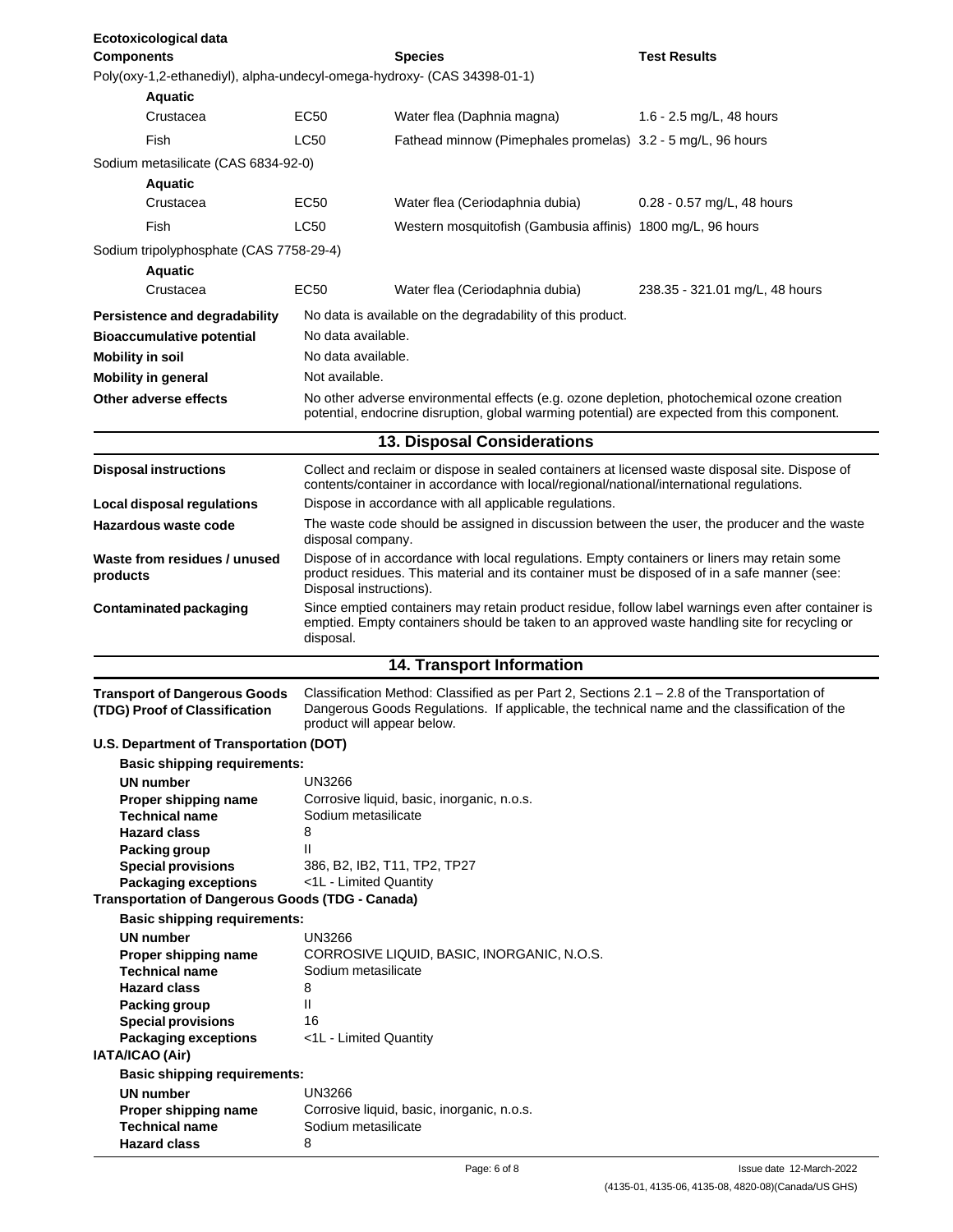| Ecotoxicological data<br><b>Components</b>                              |                                                                                                                                                                                                                        | <b>Species</b>                                                                                                                                                                              | <b>Test Results</b>            |
|-------------------------------------------------------------------------|------------------------------------------------------------------------------------------------------------------------------------------------------------------------------------------------------------------------|---------------------------------------------------------------------------------------------------------------------------------------------------------------------------------------------|--------------------------------|
| Poly(oxy-1,2-ethanediyl), alpha-undecyl-omega-hydroxy- (CAS 34398-01-1) |                                                                                                                                                                                                                        |                                                                                                                                                                                             |                                |
|                                                                         |                                                                                                                                                                                                                        |                                                                                                                                                                                             |                                |
| Aquatic<br>Crustacea                                                    | EC50                                                                                                                                                                                                                   | Water flea (Daphnia magna)                                                                                                                                                                  | 1.6 - 2.5 mg/L, 48 hours       |
|                                                                         |                                                                                                                                                                                                                        |                                                                                                                                                                                             |                                |
| Fish                                                                    | LC50                                                                                                                                                                                                                   | Fathead minnow (Pimephales promelas) 3.2 - 5 mg/L, 96 hours                                                                                                                                 |                                |
| Sodium metasilicate (CAS 6834-92-0)                                     |                                                                                                                                                                                                                        |                                                                                                                                                                                             |                                |
| <b>Aquatic</b>                                                          |                                                                                                                                                                                                                        |                                                                                                                                                                                             |                                |
| Crustacea                                                               | EC50                                                                                                                                                                                                                   | Water flea (Ceriodaphnia dubia)                                                                                                                                                             | 0.28 - 0.57 mg/L, 48 hours     |
| Fish                                                                    | <b>LC50</b>                                                                                                                                                                                                            | Western mosquitofish (Gambusia affinis) 1800 mg/L, 96 hours                                                                                                                                 |                                |
| Sodium tripolyphosphate (CAS 7758-29-4)                                 |                                                                                                                                                                                                                        |                                                                                                                                                                                             |                                |
| <b>Aquatic</b>                                                          |                                                                                                                                                                                                                        |                                                                                                                                                                                             |                                |
| Crustacea                                                               | EC50                                                                                                                                                                                                                   | Water flea (Ceriodaphnia dubia)                                                                                                                                                             | 238.35 - 321.01 mg/L, 48 hours |
| Persistence and degradability                                           |                                                                                                                                                                                                                        | No data is available on the degradability of this product.                                                                                                                                  |                                |
| <b>Bioaccumulative potential</b>                                        | No data available.                                                                                                                                                                                                     |                                                                                                                                                                                             |                                |
| <b>Mobility in soil</b>                                                 | No data available.                                                                                                                                                                                                     |                                                                                                                                                                                             |                                |
| <b>Mobility in general</b>                                              | Not available.                                                                                                                                                                                                         |                                                                                                                                                                                             |                                |
| Other adverse effects                                                   |                                                                                                                                                                                                                        | No other adverse environmental effects (e.g. ozone depletion, photochemical ozone creation                                                                                                  |                                |
|                                                                         |                                                                                                                                                                                                                        | potential, endocrine disruption, global warming potential) are expected from this component.                                                                                                |                                |
|                                                                         |                                                                                                                                                                                                                        | 13. Disposal Considerations                                                                                                                                                                 |                                |
| <b>Disposal instructions</b>                                            |                                                                                                                                                                                                                        | Collect and reclaim or dispose in sealed containers at licensed waste disposal site. Dispose of<br>contents/container in accordance with local/regional/national/international regulations. |                                |
| Local disposal regulations                                              |                                                                                                                                                                                                                        | Dispose in accordance with all applicable regulations.                                                                                                                                      |                                |
| Hazardous waste code                                                    |                                                                                                                                                                                                                        | The waste code should be assigned in discussion between the user, the producer and the waste                                                                                                |                                |
|                                                                         | disposal company.                                                                                                                                                                                                      |                                                                                                                                                                                             |                                |
| Waste from residues / unused<br>products                                | Dispose of in accordance with local regulations. Empty containers or liners may retain some<br>product residues. This material and its container must be disposed of in a safe manner (see:<br>Disposal instructions). |                                                                                                                                                                                             |                                |
| <b>Contaminated packaging</b>                                           | Since emptied containers may retain product residue, follow label warnings even after container is<br>emptied. Empty containers should be taken to an approved waste handling site for recycling or<br>disposal.       |                                                                                                                                                                                             |                                |
|                                                                         |                                                                                                                                                                                                                        | 14. Transport Information                                                                                                                                                                   |                                |
| <b>Transport of Dangerous Goods</b>                                     |                                                                                                                                                                                                                        | Classification Method: Classified as per Part 2, Sections $2.1 - 2.8$ of the Transportation of                                                                                              |                                |
| (TDG) Proof of Classification                                           | Dangerous Goods Regulations. If applicable, the technical name and the classification of the<br>product will appear below.                                                                                             |                                                                                                                                                                                             |                                |
| U.S. Department of Transportation (DOT)                                 |                                                                                                                                                                                                                        |                                                                                                                                                                                             |                                |
| <b>Basic shipping requirements:</b>                                     |                                                                                                                                                                                                                        |                                                                                                                                                                                             |                                |
| <b>UN</b> number<br>Proper shipping name                                | <b>UN3266</b>                                                                                                                                                                                                          | Corrosive liquid, basic, inorganic, n.o.s.                                                                                                                                                  |                                |
| <b>Technical name</b>                                                   | Sodium metasilicate                                                                                                                                                                                                    |                                                                                                                                                                                             |                                |
| <b>Hazard class</b>                                                     | 8                                                                                                                                                                                                                      |                                                                                                                                                                                             |                                |
| Packing group                                                           | Ш                                                                                                                                                                                                                      |                                                                                                                                                                                             |                                |
| <b>Special provisions</b><br><b>Packaging exceptions</b>                | 386, B2, IB2, T11, TP2, TP27<br><1L - Limited Quantity                                                                                                                                                                 |                                                                                                                                                                                             |                                |
| <b>Transportation of Dangerous Goods (TDG - Canada)</b>                 |                                                                                                                                                                                                                        |                                                                                                                                                                                             |                                |
| <b>Basic shipping requirements:</b>                                     |                                                                                                                                                                                                                        |                                                                                                                                                                                             |                                |
| <b>UN</b> number                                                        | <b>UN3266</b>                                                                                                                                                                                                          |                                                                                                                                                                                             |                                |
| Proper shipping name                                                    |                                                                                                                                                                                                                        | CORROSIVE LIQUID, BASIC, INORGANIC, N.O.S.                                                                                                                                                  |                                |
| <b>Technical name</b>                                                   | Sodium metasilicate                                                                                                                                                                                                    |                                                                                                                                                                                             |                                |
| <b>Hazard class</b>                                                     | 8<br>Ш                                                                                                                                                                                                                 |                                                                                                                                                                                             |                                |
| Packing group<br><b>Special provisions</b>                              | 16                                                                                                                                                                                                                     |                                                                                                                                                                                             |                                |
| <b>Packaging exceptions</b>                                             | <1L - Limited Quantity                                                                                                                                                                                                 |                                                                                                                                                                                             |                                |
| IATA/ICAO (Air)                                                         |                                                                                                                                                                                                                        |                                                                                                                                                                                             |                                |
| <b>Basic shipping requirements:</b>                                     |                                                                                                                                                                                                                        |                                                                                                                                                                                             |                                |
| <b>UN</b> number                                                        | <b>UN3266</b>                                                                                                                                                                                                          |                                                                                                                                                                                             |                                |
| Proper shipping name                                                    | Sodium metasilicate                                                                                                                                                                                                    | Corrosive liquid, basic, inorganic, n.o.s.                                                                                                                                                  |                                |
| <b>Technical name</b><br><b>Hazard class</b>                            | 8                                                                                                                                                                                                                      |                                                                                                                                                                                             |                                |
|                                                                         |                                                                                                                                                                                                                        |                                                                                                                                                                                             |                                |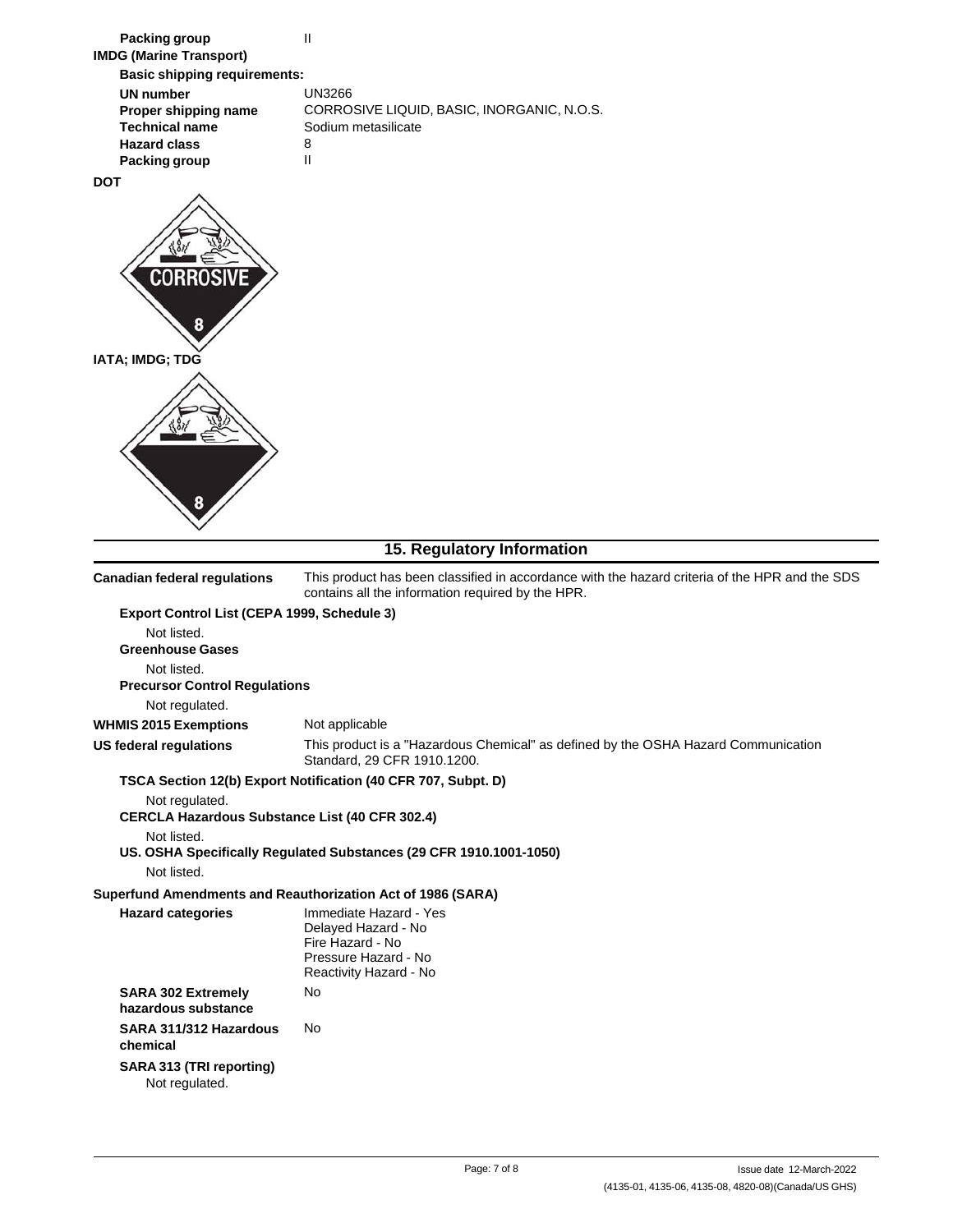| <b>Packing group</b>                                                    | Ш                                                                                                                                                   |  |  |  |
|-------------------------------------------------------------------------|-----------------------------------------------------------------------------------------------------------------------------------------------------|--|--|--|
| <b>IMDG (Marine Transport)</b>                                          |                                                                                                                                                     |  |  |  |
| <b>Basic shipping requirements:</b>                                     |                                                                                                                                                     |  |  |  |
| <b>UN number</b><br>Proper shipping name                                | <b>UN3266</b><br>CORROSIVE LIQUID, BASIC, INORGANIC, N.O.S.                                                                                         |  |  |  |
| <b>Technical name</b>                                                   | Sodium metasilicate                                                                                                                                 |  |  |  |
| <b>Hazard class</b>                                                     | 8                                                                                                                                                   |  |  |  |
| Packing group                                                           | Ш                                                                                                                                                   |  |  |  |
| DOT                                                                     |                                                                                                                                                     |  |  |  |
| CORROSIVE<br>8                                                          |                                                                                                                                                     |  |  |  |
| IATA; IMDG; TDG                                                         |                                                                                                                                                     |  |  |  |
|                                                                         |                                                                                                                                                     |  |  |  |
|                                                                         |                                                                                                                                                     |  |  |  |
|                                                                         |                                                                                                                                                     |  |  |  |
| 8                                                                       |                                                                                                                                                     |  |  |  |
|                                                                         |                                                                                                                                                     |  |  |  |
|                                                                         | 15. Regulatory Information                                                                                                                          |  |  |  |
| <b>Canadian federal regulations</b>                                     | This product has been classified in accordance with the hazard criteria of the HPR and the SDS<br>contains all the information required by the HPR. |  |  |  |
| Export Control List (CEPA 1999, Schedule 3)                             |                                                                                                                                                     |  |  |  |
| Not listed.                                                             |                                                                                                                                                     |  |  |  |
| <b>Greenhouse Gases</b>                                                 |                                                                                                                                                     |  |  |  |
| Not listed.<br><b>Precursor Control Regulations</b>                     |                                                                                                                                                     |  |  |  |
| Not regulated.                                                          |                                                                                                                                                     |  |  |  |
| <b>WHMIS 2015 Exemptions</b>                                            | Not applicable                                                                                                                                      |  |  |  |
| <b>US federal regulations</b>                                           | This product is a "Hazardous Chemical" as defined by the OSHA Hazard Communication<br>Standard, 29 CFR 1910.1200.                                   |  |  |  |
|                                                                         | TSCA Section 12(b) Export Notification (40 CFR 707, Subpt. D)                                                                                       |  |  |  |
| Not regulated.<br><b>CERCLA Hazardous Substance List (40 CFR 302.4)</b> |                                                                                                                                                     |  |  |  |
| Not listed.<br>Not listed.                                              | US. OSHA Specifically Regulated Substances (29 CFR 1910.1001-1050)                                                                                  |  |  |  |
|                                                                         | Superfund Amendments and Reauthorization Act of 1986 (SARA)                                                                                         |  |  |  |
| <b>Hazard categories</b>                                                | Immediate Hazard - Yes<br>Delayed Hazard - No<br>Fire Hazard - No<br>Pressure Hazard - No<br>Reactivity Hazard - No                                 |  |  |  |
| <b>SARA 302 Extremely</b><br>hazardous substance                        | No                                                                                                                                                  |  |  |  |
| SARA 311/312 Hazardous<br>chemical                                      | No                                                                                                                                                  |  |  |  |
| SARA 313 (TRI reporting)<br>Not regulated.                              |                                                                                                                                                     |  |  |  |